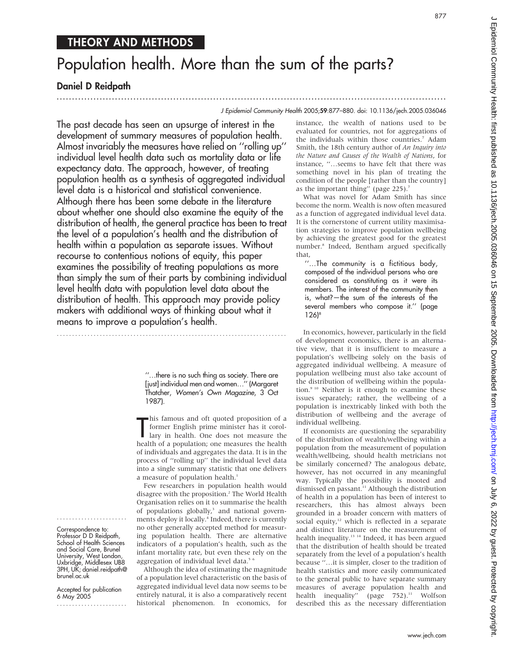# THEORY AND METHODS

# Population health. More than the sum of the parts?

# Daniel D Reidpath

# J Epidemiol Community Health 2005;59:877–880. doi: 10.1136/jech.2005.036046

...............................................................................................................................

The past decade has seen an upsurge of interest in the development of summary measures of population health. Almost invariably the measures have relied on ''rolling up'' individual level health data such as mortality data or life expectancy data. The approach, however, of treating population health as a synthesis of aggregated individual level data is a historical and statistical convenience. Although there has been some debate in the literature about whether one should also examine the equity of the distribution of health, the general practice has been to treat the level of a population's health and the distribution of health within a population as separate issues. Without recourse to contentious notions of equity, this paper examines the possibility of treating populations as more than simply the sum of their parts by combining individual level health data with population level data about the distribution of health. This approach may provide policy makers with additional ways of thinking about what it means to improve a population's health.

...........................................................................

''…there is no such thing as society. There are [just] individual men and women…'' (Margaret Thatcher, Women's Own Magazine, 3 Oct 1987).

This tamous and off quoted proposition of a<br>former English prime minister has it corol-<br>lary in health. One does not measure the<br>health of a population; one measures the health his famous and oft quoted proposition of a former English prime minister has it corollary in health. One does not measure the of individuals and aggregates the data. It is in the process of ''rolling up'' the individual level data into a single summary statistic that one delivers a measure of population health.<sup>1</sup>

Few researchers in population health would disagree with the proposition.2 The World Health Organisation relies on it to summarise the health of populations globally,<sup>3</sup> and national governments deploy it locally.<sup>4</sup> Indeed, there is currently no other generally accepted method for measuring population health. There are alternative indicators of a population's health, such as the infant mortality rate, but even these rely on the aggregation of individual level data.<sup>5 6</sup>

Although the idea of estimating the magnitude of a population level characteristic on the basis of aggregated individual level data now seems to be entirely natural, it is also a comparatively recent historical phenomenon. In economics, for

instance, the wealth of nations used to be evaluated for countries, not for aggregations of the individuals within those countries.<sup>7</sup> Adam Smith, the 18th century author of An Inquiry into the Nature and Causes of the Wealth of Nations, for instance, ''…seems to have felt that there was something novel in his plan of treating the condition of the people [rather than the country] as the important thing" (page 225).<sup>7</sup>

What was novel for Adam Smith has since become the norm. Wealth is now often measured as a function of aggregated individual level data. It is the cornerstone of current utility maximisation strategies to improve population wellbeing by achieving the greatest good for the greatest number.8 Indeed, Bentham argued specifically that,

''…The community is a fictitious body, composed of the individual persons who are considered as constituting as it were its members. The interest of the community then is, what?—the sum of the interests of the several members who compose it.'' (page  $126$ <sup>8</sup>

In economics, however, particularly in the field of development economics, there is an alternative view, that it is insufficient to measure a population's wellbeing solely on the basis of aggregated individual wellbeing. A measure of population wellbeing must also take account of the distribution of wellbeing within the population.<sup>9 10</sup> Neither is it enough to examine these issues separately; rather, the wellbeing of a population is inextricably linked with both the distribution of wellbeing and the average of individual wellbeing.

If economists are questioning the separability of the distribution of wealth/wellbeing within a population from the measurement of population wealth/wellbeing, should health metricians not be similarly concerned? The analogous debate, however, has not occurred in any meaningful way. Typically the possibility is mooted and dismissed en passant.<sup>11</sup> Although the distribution of health in a population has been of interest to researchers, this has almost always been grounded in a broader concern with matters of social equity,<sup>12</sup> which is reflected in a separate and distinct literature on the measurement of health inequality.<sup>13</sup> <sup>14</sup> Indeed, it has been argued that the distribution of health should be treated separately from the level of a population's health because ''…it is simpler, closer to the tradition of health statistics and more easily communicated to the general public to have separate summary measures of average population health and health inequality" (page 752).<sup>11</sup> Wolfson described this as the necessary differentiation

Correspondence to: Professor D D Reidpath, School of Health Sciences and Social Care, Brunel University, West London, Uxbridge, Middlesex UB8 3PH, UK; daniel.reidpath@ brunel.ac.uk

.......................

Accepted for publication 6 May 2005 .......................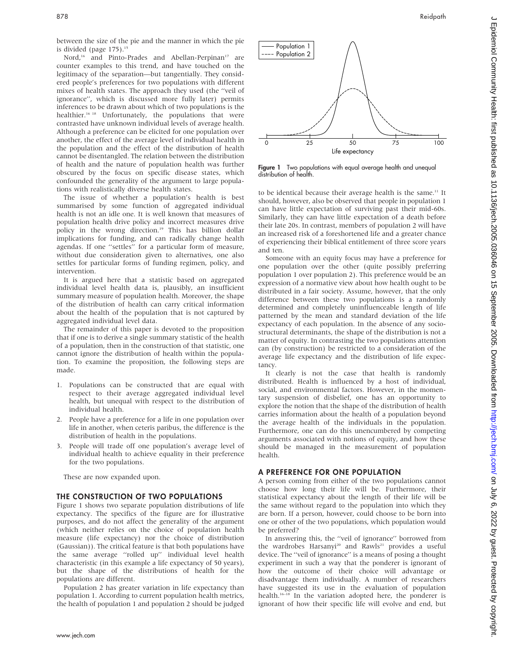between the size of the pie and the manner in which the pie is divided (page  $175$ ).<sup>15</sup>

Nord,<sup>16</sup> and Pinto-Prades and Abellan-Perpinan<sup>17</sup> are counter examples to this trend, and have touched on the legitimacy of the separation—but tangentially. They considered people's preferences for two populations with different mixes of health states. The approach they used (the ''veil of ignorance'', which is discussed more fully later) permits inferences to be drawn about which of two populations is the healthier.<sup>16 18</sup> Unfortunately, the populations that were contrasted have unknown individual levels of average health. Although a preference can be elicited for one population over another, the effect of the average level of individual health in the population and the effect of the distribution of health cannot be disentangled. The relation between the distribution of health and the nature of population health was further obscured by the focus on specific disease states, which confounded the generality of the argument to large populations with realistically diverse health states.

The issue of whether a population's health is best summarised by some function of aggregated individual health is not an idle one. It is well known that measures of population health drive policy and incorrect measures drive policy in the wrong direction.<sup>19</sup> This has billion dollar implications for funding, and can radically change health agendas. If one ''settles'' for a particular form of measure, without due consideration given to alternatives, one also settles for particular forms of funding regimen, policy, and intervention.

It is argued here that a statistic based on aggregated individual level health data is, plausibly, an insufficient summary measure of population health. Moreover, the shape of the distribution of health can carry critical information about the health of the population that is not captured by aggregated individual level data.

The remainder of this paper is devoted to the proposition that if one is to derive a single summary statistic of the health of a population, then in the construction of that statistic, one cannot ignore the distribution of health within the population. To examine the proposition, the following steps are made.

- 1. Populations can be constructed that are equal with respect to their average aggregated individual level health, but unequal with respect to the distribution of individual health.
- 2. People have a preference for a life in one population over life in another, when ceteris paribus, the difference is the distribution of health in the populations.
- 3. People will trade off one population's average level of individual health to achieve equality in their preference for the two populations.

These are now expanded upon.

## THE CONSTRUCTION OF TWO POPULATIONS

Figure 1 shows two separate population distributions of life expectancy. The specifics of the figure are for illustrative purposes, and do not affect the generality of the argument (which neither relies on the choice of population health measure (life expectancy) nor the choice of distribution (Gaussian)). The critical feature is that both populations have the same average ''rolled up'' individual level health characteristic (in this example a life expectancy of 50 years), but the shape of the distributions of health for the populations are different.

Population 2 has greater variation in life expectancy than population 1. According to current population health metrics, the health of population 1 and population 2 should be judged



Figure 1 Two populations with equal average health and unequal distribution of health.

to be identical because their average health is the same.<sup>11</sup> It should, however, also be observed that people in population 1 can have little expectation of surviving past their mid-60s. Similarly, they can have little expectation of a death before their late 20s. In contrast, members of population 2 will have an increased risk of a foreshortened life and a greater chance of experiencing their biblical entitlement of three score years and ten.

Someone with an equity focus may have a preference for one population over the other (quite possibly preferring population 1 over population 2). This preference would be an expression of a normative view about how health ought to be distributed in a fair society. Assume, however, that the only difference between these two populations is a randomly determined and completely uninfluenceable length of life patterned by the mean and standard deviation of the life expectancy of each population. In the absence of any sociostructural determinants, the shape of the distribution is not a matter of equity. In contrasting the two populations attention can (by construction) be restricted to a consideration of the average life expectancy and the distribution of life expectancy.

It clearly is not the case that health is randomly distributed. Health is influenced by a host of individual, social, and environmental factors. However, in the momentary suspension of disbelief, one has an opportunity to explore the notion that the shape of the distribution of health carries information about the health of a population beyond the average health of the individuals in the population. Furthermore, one can do this unencumbered by competing arguments associated with notions of equity, and how these should be managed in the measurement of population health.

## A PREFERENCE FOR ONE POPULATION

A person coming from either of the two populations cannot choose how long their life will be. Furthermore, their statistical expectancy about the length of their life will be the same without regard to the population into which they are born. If a person, however, could choose to be born into one or other of the two populations, which population would be preferred?

In answering this, the ''veil of ignorance'' borrowed from the wardrobes Harsanyi<sup>20</sup> and Rawls<sup>21</sup> provides a useful device. The ''veil of ignorance'' is a means of posing a thought experiment in such a way that the ponderer is ignorant of how the outcome of their choice will advantage or disadvantage them individually. A number of researchers have suggested its use in the evaluation of population health.<sup>16–18</sup> In the variation adopted here, the ponderer is ignorant of how their specific life will evolve and end, but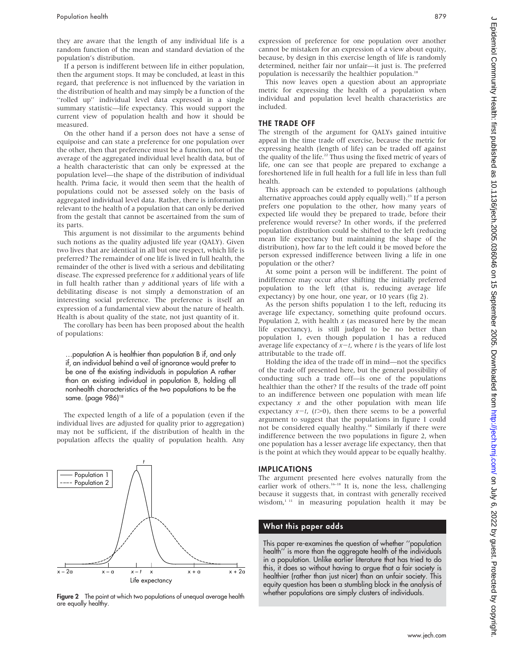they are aware that the length of any individual life is a random function of the mean and standard deviation of the population's distribution.

If a person is indifferent between life in either population, then the argument stops. It may be concluded, at least in this regard, that preference is not influenced by the variation in the distribution of health and may simply be a function of the ''rolled up'' individual level data expressed in a single summary statistic—life expectancy. This would support the current view of population health and how it should be measured.

On the other hand if a person does not have a sense of equipoise and can state a preference for one population over the other, then that preference must be a function, not of the average of the aggregated individual level health data, but of a health characteristic that can only be expressed at the population level—the shape of the distribution of individual health. Prima facie, it would then seem that the health of populations could not be assessed solely on the basis of aggregated individual level data. Rather, there is information relevant to the health of a population that can only be derived from the gestalt that cannot be ascertained from the sum of its parts.

This argument is not dissimilar to the arguments behind such notions as the quality adjusted life year (QALY). Given two lives that are identical in all but one respect, which life is preferred? The remainder of one life is lived in full health, the remainder of the other is lived with a serious and debilitating disease. The expressed preference for  $x$  additional years of life in full health rather than  $y$  additional years of life with a debilitating disease is not simply a demonstration of an interesting social preference. The preference is itself an expression of a fundamental view about the nature of health. Health is about quality of the state, not just quantity of it.

The corollary has been has been proposed about the health of populations:

…population A is healthier than population B if, and only if, an individual behind a veil of ignorance would prefer to be one of the existing individuals in population A rather than an existing individual in population B, holding all nonhealth characteristics of the two populations to be the same. (page 986)<sup>18</sup>

The expected length of a life of a population (even if the individual lives are adjusted for quality prior to aggregation) may not be sufficient, if the distribution of health in the population affects the quality of population health. Any



Figure 2 The point at which two populations of unequal average health are equally healthy.

expression of preference for one population over another cannot be mistaken for an expression of a view about equity, because, by design in this exercise length of life is randomly determined, neither fair nor unfair—it just is. The preferred population is necessarily the healthier population.<sup>18</sup>

This now leaves open a question about an appropriate metric for expressing the health of a population when individual and population level health characteristics are included.

#### THE TRADE OFF

The strength of the argument for QALYs gained intuitive appeal in the time trade off exercise, because the metric for expressing health (length of life) can be traded off against the quality of the life.<sup>22</sup> Thus using the fixed metric of years of life, one can see that people are prepared to exchange a foreshortened life in full health for a full life in less than full health.

This approach can be extended to populations (although alternative approaches could apply equally well).<sup>23</sup> If a person prefers one population to the other, how many years of expected life would they be prepared to trade, before their preference would reverse? In other words, if the preferred population distribution could be shifted to the left (reducing mean life expectancy but maintaining the shape of the distribution), how far to the left could it be moved before the person expressed indifference between living a life in one population or the other?

At some point a person will be indifferent. The point of indifference may occur after shifting the initially preferred population to the left (that is, reducing average life expectancy) by one hour, one year, or 10 years (fig 2).

As the person shifts population 1 to the left, reducing its average life expectancy, something quite profound occurs. Population 2, with health  $x$  (as measured here by the mean life expectancy), is still judged to be no better than population 1, even though population 1 has a reduced average life expectancy of  $x-t$ , where t is the years of life lost attributable to the trade off.

Holding the idea of the trade off in mind—not the specifics of the trade off presented here, but the general possibility of conducting such a trade off—is one of the populations healthier than the other? If the results of the trade off point to an indifference between one population with mean life expectancy  $x$  and the other population with mean life expectancy  $x-t$ , (t>0), then there seems to be a powerful argument to suggest that the populations in figure 1 could not be considered equally healthy.18 Similarly if there were indifference between the two populations in figure 2, when one population has a lesser average life expectancy, then that is the point at which they would appear to be equally healthy.

#### IMPLICATIONS

The argument presented here evolves naturally from the earlier work of others.<sup>16–18</sup> It is, none the less, challenging because it suggests that, in contrast with generally received wisdom, $111$  in measuring population health it may be

### What this paper adds

This paper re-examines the question of whether ''population health'' is more than the aggregate health of the individuals in a population. Unlike earlier literature that has tried to do this, it does so without having to argue that a fair society is healthier (rather than just nicer) than an unfair society. This equity question has been a stumbling block in the analysis of whether populations are simply clusters of individuals.